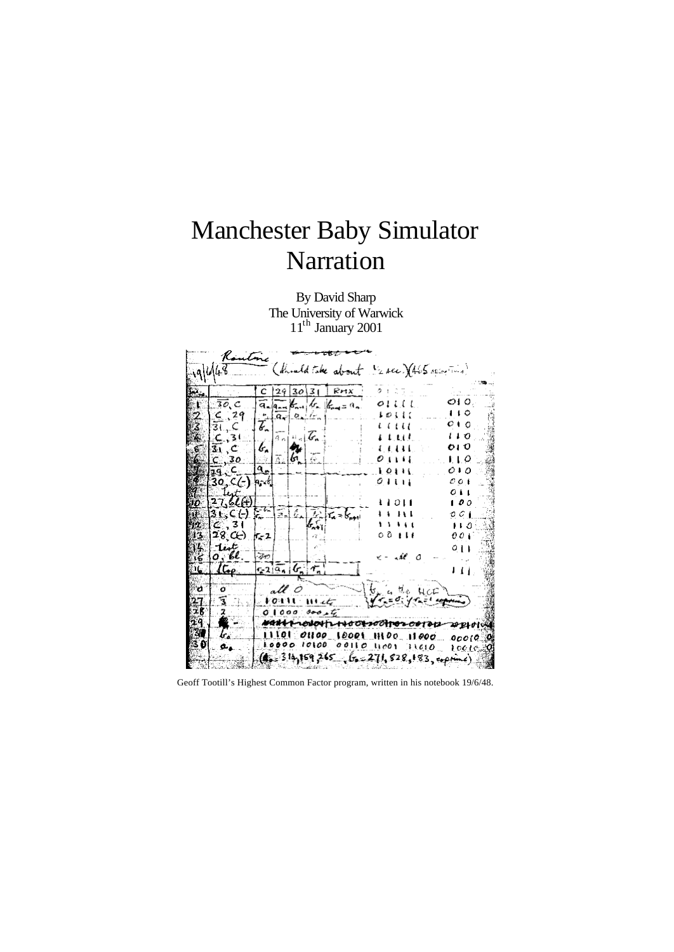# Manchester Baby Simulator Narration

By David Sharp The University of Warwick 11<sup>th</sup> January 2001

|      |              |                |                                                                     |                                                                                | (thinld take about 1/2 see ) (465 sping Time)                    |                              |
|------|--------------|----------------|---------------------------------------------------------------------|--------------------------------------------------------------------------------|------------------------------------------------------------------|------------------------------|
|      |              |                |                                                                     |                                                                                |                                                                  |                              |
|      |              | $C^{129}$      | 30 3                                                                | RHX                                                                            | タエに子                                                             |                              |
|      | $\Box$ 30, C |                |                                                                     | $\overline{a}_{n} _{\overline{a}_{n+1}}$ $k_{n+1}$ $k_{n+1}$ $k_{n+2}$ $a_{n}$ | 01111                                                            | OI 0.:                       |
|      | $\leq$ 29    |                | $\frac{1}{2}$ $\frac{1}{2}$ $\frac{1}{2}$                           |                                                                                | 1011                                                             | 110                          |
|      | उ., C.       | Ŧ.             |                                                                     |                                                                                | i i i i i                                                        | $\mathbf{c}$ to $\mathbf{c}$ |
|      | $\zeta$ , 31 |                | $\mathbb{Z} \setminus \mathbb{Z}$<br>$\widehat{\mathfrak{g}}_{[n]}$ |                                                                                | i Leit.                                                          | 1 I O                        |
|      | 31, C.       | $ t_n $        |                                                                     |                                                                                | .                                                                | 01 O                         |
|      | C, 30        |                | $\mathcal{C} \mid \mathcal{C}$<br>Ì.                                |                                                                                | 01111                                                            | 1 I O                        |
|      | <b>14.C</b>  | ۹.             |                                                                     |                                                                                | 10111                                                            | 010                          |
|      | 30,C(-) h-16 |                |                                                                     |                                                                                | 0.1111                                                           | 001                          |
|      |              |                |                                                                     |                                                                                |                                                                  | 011                          |
|      | 27,62(f)     |                |                                                                     |                                                                                | t Lott                                                           | 100                          |
|      | 31, 67       | $\mathbb{R}^n$ | F.,                                                                 | $E_n$ $E_n = E_{n+1}$                                                          | 1 L L L L                                                        | 0 C I                        |
|      | $C$ 31       |                |                                                                     |                                                                                | 1 1 1 1 1                                                        | 110                          |
|      | 3   28 $C$ ) | IF - 2         |                                                                     |                                                                                | $\circ$ $\circ$ $\bullet$ $\bullet$ $\bullet$                    | 001                          |
| it.  | $1$ int $=$  |                |                                                                     |                                                                                |                                                                  | ा।                           |
| ا کا | $o, \ell$ .  | トネッ            |                                                                     |                                                                                |                                                                  |                              |
| 16.  | $\mu$        | 1.219.         |                                                                     |                                                                                |                                                                  |                              |
| °0 ° | ுள்          |                | all 0                                                               |                                                                                |                                                                  |                              |
|      | 3.           |                | VOI LL.                                                             |                                                                                | $b_{\infty}$ as the $H_{\rm CC}$<br>ومستقابهم بالمحابيب          |                              |
| zк   | $\cdot$ . 2  |                | $0.1000 \pm 0.004$                                                  |                                                                                |                                                                  |                              |
| 29.  | ₩            |                |                                                                     |                                                                                | NANT-LONOHIL-HOOL2001102001012                                   |                              |
| 31   | k            |                |                                                                     |                                                                                |                                                                  | ገንይሁበላል                      |
| 8 D  |              |                |                                                                     | 10000 10100 00110                                                              | 11101 01100 10001 11100 11 <i>0</i> 00<br>41 co 1                | 00010.W                      |
|      |              |                |                                                                     |                                                                                | 11610                                                            | t oo to.                     |
|      |              |                |                                                                     |                                                                                | $(g_{\mu} = 3.14, 159, 265, 65 = 271, 828, 183, \text{expimal})$ |                              |

Geoff Tootill's Highest Common Factor program, written in his notebook 19/6/48.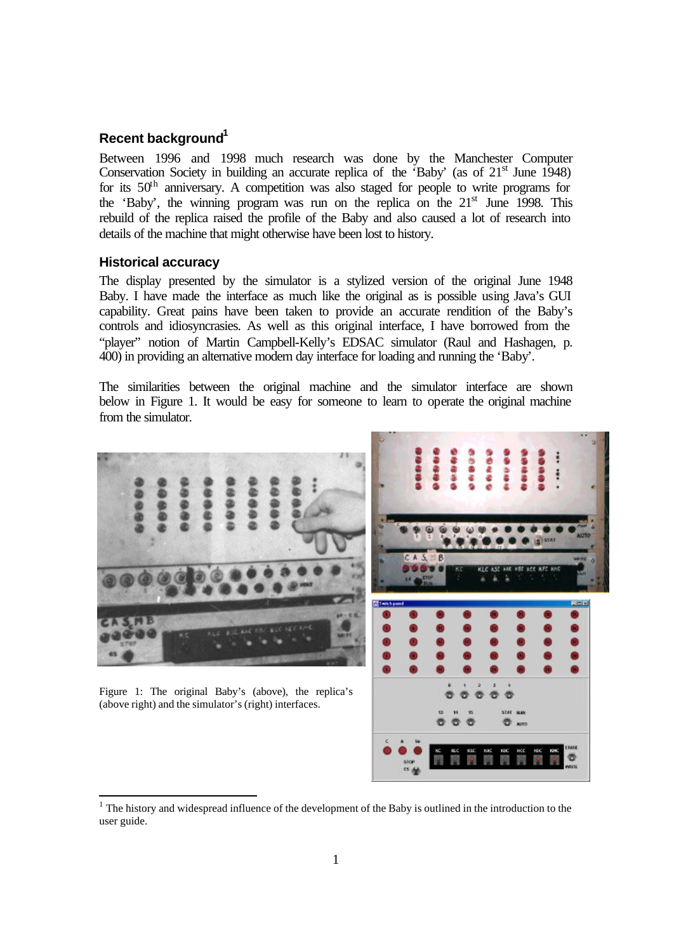## **Recent background<sup>1</sup>**

Between 1996 and 1998 much research was done by the Manchester Computer Conservation Society in building an accurate replica of the 'Baby' (as of  $21<sup>st</sup>$  June 1948) for its  $50<sup>th</sup>$  anniversary. A competition was also staged for people to write programs for the 'Baby', the winning program was run on the replica on the  $21<sup>st</sup>$  June 1998. This rebuild of the replica raised the profile of the Baby and also caused a lot of research into details of the machine that might otherwise have been lost to history.

#### **Historical accuracy**

l

The display presented by the simulator is a stylized version of the original June 1948 Baby. I have made the interface as much like the original as is possible using Java's GUI capability. Great pains have been taken to provide an accurate rendition of the Baby's controls and idiosyncrasies. As well as this original interface, I have borrowed from the "player" notion of Martin Campbell-Kelly's EDSAC simulator (Raul and Hashagen, p. 400) in providing an alternative modern day interface for loading and running the 'Baby'.

The similarities between the original machine and the simulator interface are shown below in Figure 1. It would be easy for someone to learn to operate the original machine from the simulator.



 $<sup>1</sup>$  The history and widespread influence of the development of the Baby is outlined in the introduction to the</sup> user guide.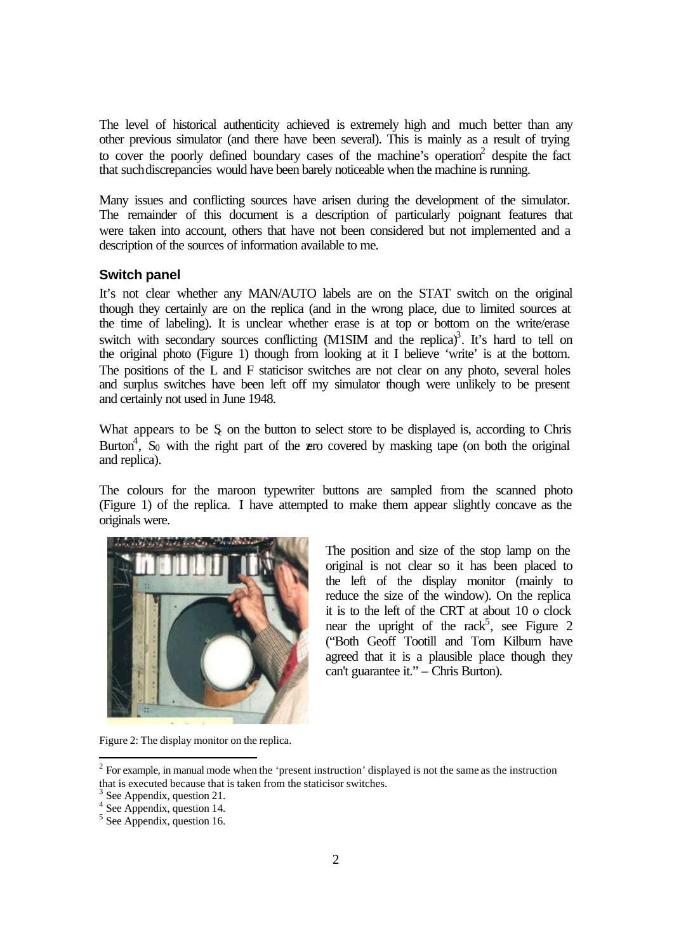The level of historical authenticity achieved is extremely high and much better than any other previous simulator (and there have been several). This is mainly as a result of trying to cover the poorly defined boundary cases of the machine's operation<sup>2</sup> despite the fact that such discrepancies would have been barely noticeable when the machine is running.

Many issues and conflicting sources have arisen during the development of the simulator. The remainder of this document is a description of particularly poignant features that were taken into account, others that have not been considered but not implemented and a description of the sources of information available to me.

### **Switch panel**

It's not clear whether any MAN/AUTO labels are on the STAT switch on the original though they certainly are on the replica (and in the wrong place, due to limited sources at the time of labeling). It is unclear whether erase is at top or bottom on the write/erase switch with secondary sources conflicting (M1SIM and the replica)<sup>3</sup>. It's hard to tell on the original photo (Figure 1) though from looking at it I believe 'write' is at the bottom. The positions of the L and F staticisor switches are not clear on any photo, several holes and surplus switches have been left off my simulator though were unlikely to be present and certainly not used in June 1948.

What appears to be  $S_{\text{c}}$  on the button to select store to be displayed is, according to Chris Burton<sup>4</sup>, S<sub>0</sub> with the right part of the zero covered by masking tape (on both the original and replica).

The colours for the maroon typewriter buttons are sampled from the scanned photo (Figure 1) of the replica. I have attempted to make them appear slightly concave as the originals were.



The position and size of the stop lamp on the original is not clear so it has been placed to the left of the display monitor (mainly to reduce the size of the window). On the replica it is to the left of the CRT at about 10 o clock near the upright of the rack<sup>5</sup>, see Figure 2 ("Both Geoff Tootill and Tom Kilburn have agreed that it is a plausible place though they can't guarantee it." – Chris Burton).

Figure 2: The display monitor on the replica.

<sup>&</sup>lt;sup>2</sup> For example, in manual mode when the 'present instruction' displayed is not the same as the instruction that is executed because that is taken from the staticisor switches.

<sup>3</sup> See Appendix, question 21.

<sup>4</sup> See Appendix, question 14.

<sup>&</sup>lt;sup>5</sup> See Appendix, question 16.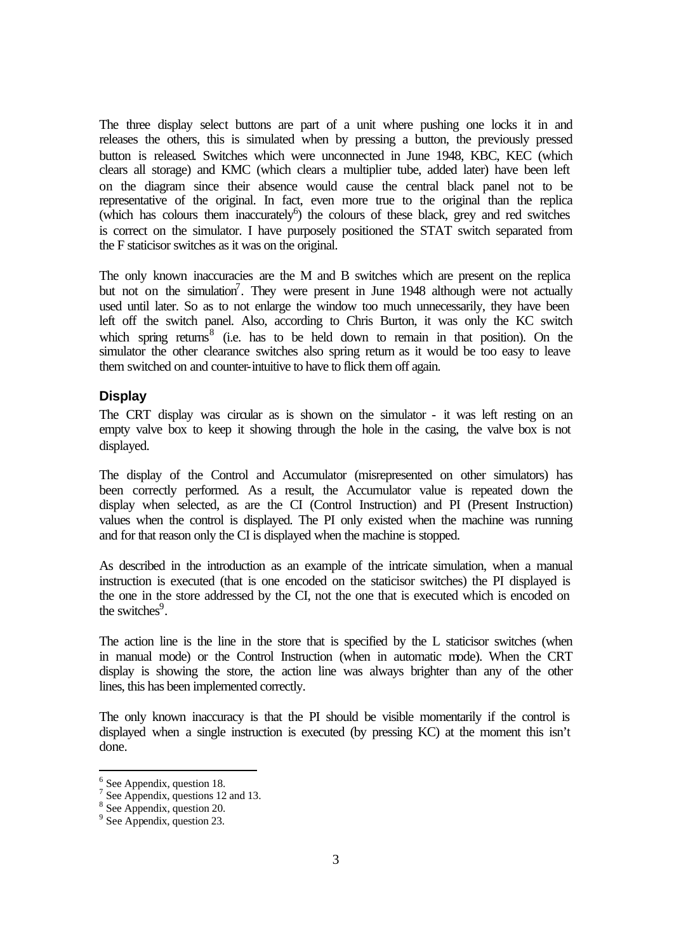The three display select buttons are part of a unit where pushing one locks it in and releases the others, this is simulated when by pressing a button, the previously pressed button is released. Switches which were unconnected in June 1948, KBC, KEC (which clears all storage) and KMC (which clears a multiplier tube, added later) have been left on the diagram since their absence would cause the central black panel not to be representative of the original. In fact, even more true to the original than the replica (which has colours them inaccurately<sup>6</sup>) the colours of these black, grey and red switches is correct on the simulator. I have purposely positioned the STAT switch separated from the F staticisor switches as it was on the original.

The only known inaccuracies are the M and B switches which are present on the replica but not on the simulation<sup>7</sup>. They were present in June 1948 although were not actually used until later. So as to not enlarge the window too much unnecessarily, they have been left off the switch panel. Also, according to Chris Burton, it was only the KC switch which spring returns $8$  (i.e. has to be held down to remain in that position). On the simulator the other clearance switches also spring return as it would be too easy to leave them switched on and counter-intuitive to have to flick them off again.

#### **Display**

The CRT display was circular as is shown on the simulator - it was left resting on an empty valve box to keep it showing through the hole in the casing, the valve box is not displayed.

The display of the Control and Accumulator (misrepresented on other simulators) has been correctly performed. As a result, the Accumulator value is repeated down the display when selected, as are the CI (Control Instruction) and PI (Present Instruction) values when the control is displayed. The PI only existed when the machine was running and for that reason only the CI is displayed when the machine is stopped.

As described in the introduction as an example of the intricate simulation, when a manual instruction is executed (that is one encoded on the staticisor switches) the PI displayed is the one in the store addressed by the CI, not the one that is executed which is encoded on the switches $9$ .

The action line is the line in the store that is specified by the L staticisor switches (when in manual mode) or the Control Instruction (when in automatic mode). When the CRT display is showing the store, the action line was always brighter than any of the other lines, this has been implemented correctly.

The only known inaccuracy is that the PI should be visible momentarily if the control is displayed when a single instruction is executed (by pressing KC) at the moment this isn't done.

l

 $<sup>6</sup>$  See Appendix, question 18.</sup>

<sup>&</sup>lt;sup>7</sup> See Appendix, questions 12 and 13.

<sup>&</sup>lt;sup>8</sup> See Appendix, question 20.

<sup>&</sup>lt;sup>9</sup> See Appendix, question 23.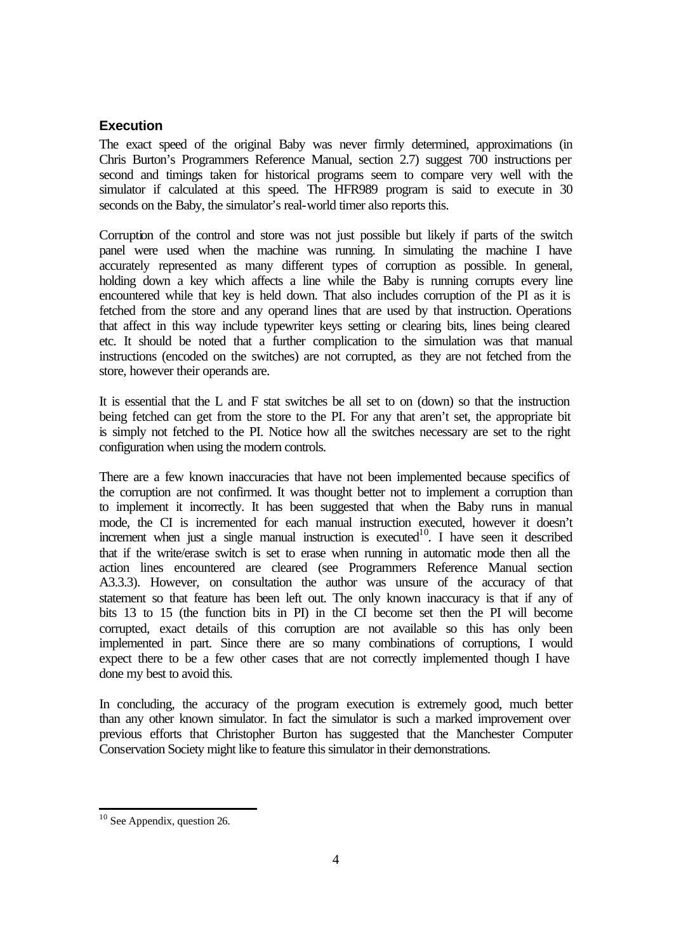## **Execution**

The exact speed of the original Baby was never firmly determined, approximations (in Chris Burton's Programmers Reference Manual, section 2.7) suggest 700 instructions per second and timings taken for historical programs seem to compare very well with the simulator if calculated at this speed. The HFR989 program is said to execute in 30 seconds on the Baby, the simulator's real-world timer also reports this.

Corruption of the control and store was not just possible but likely if parts of the switch panel were used when the machine was running. In simulating the machine I have accurately represented as many different types of corruption as possible. In general, holding down a key which affects a line while the Baby is running corrupts every line encountered while that key is held down. That also includes corruption of the PI as it is fetched from the store and any operand lines that are used by that instruction. Operations that affect in this way include typewriter keys setting or clearing bits, lines being cleared etc. It should be noted that a further complication to the simulation was that manual instructions (encoded on the switches) are not corrupted, as they are not fetched from the store, however their operands are.

It is essential that the L and F stat switches be all set to on (down) so that the instruction being fetched can get from the store to the PI. For any that aren't set, the appropriate bit is simply not fetched to the PI. Notice how all the switches necessary are set to the right configuration when using the modern controls.

There are a few known inaccuracies that have not been implemented because specifics of the corruption are not confirmed. It was thought better not to implement a corruption than to implement it incorrectly. It has been suggested that when the Baby runs in manual mode, the CI is incremented for each manual instruction executed, however it doesn't increment when just a single manual instruction is executed<sup>10</sup>. I have seen it described that if the write/erase switch is set to erase when running in automatic mode then all the action lines encountered are cleared (see Programmers Reference Manual section A3.3.3). However, on consultation the author was unsure of the accuracy of that statement so that feature has been left out. The only known inaccuracy is that if any of bits 13 to 15 (the function bits in PI) in the CI become set then the PI will become corrupted, exact details of this corruption are not available so this has only been implemented in part. Since there are so many combinations of corruptions, I would expect there to be a few other cases that are not correctly implemented though I have done my best to avoid this.

In concluding, the accuracy of the program execution is extremely good, much better than any other known simulator. In fact the simulator is such a marked improvement over previous efforts that Christopher Burton has suggested that the Manchester Computer Conservation Society might like to feature this simulator in their demonstrations.

l

 $10$  See Appendix, question 26.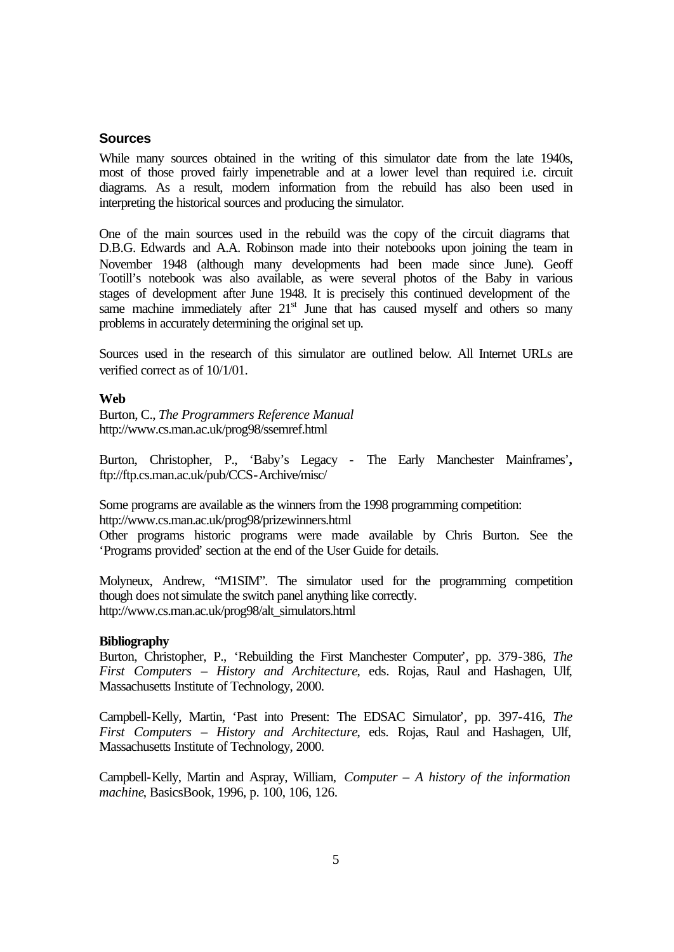#### **Sources**

While many sources obtained in the writing of this simulator date from the late 1940s, most of those proved fairly impenetrable and at a lower level than required i.e. circuit diagrams. As a result, modern information from the rebuild has also been used in interpreting the historical sources and producing the simulator.

One of the main sources used in the rebuild was the copy of the circuit diagrams that D.B.G. Edwards and A.A. Robinson made into their notebooks upon joining the team in November 1948 (although many developments had been made since June). Geoff Tootill's notebook was also available, as were several photos of the Baby in various stages of development after June 1948. It is precisely this continued development of the same machine immediately after  $21<sup>st</sup>$  June that has caused myself and others so many problems in accurately determining the original set up.

Sources used in the research of this simulator are outlined below. All Internet URLs are verified correct as of 10/1/01.

#### **Web**

Burton, C., *The Programmers Reference Manual* http://www.cs.man.ac.uk/prog98/ssemref.html

Burton, Christopher, P., 'Baby's Legacy - The Early Manchester Mainframes'**,**  ftp://ftp.cs.man.ac.uk/pub/CCS-Archive/misc/

Some programs are available as the winners from the 1998 programming competition: http://www.cs.man.ac.uk/prog98/prizewinners.html

Other programs historic programs were made available by Chris Burton. See the 'Programs provided' section at the end of the User Guide for details.

Molyneux, Andrew, "M1SIM". The simulator used for the programming competition though does not simulate the switch panel anything like correctly. http://www.cs.man.ac.uk/prog98/alt\_simulators.html

#### **Bibliography**

Burton, Christopher, P., 'Rebuilding the First Manchester Computer', pp. 379-386, *The First Computers – History and Architecture*, eds. Rojas, Raul and Hashagen, Ulf, Massachusetts Institute of Technology, 2000.

Campbell-Kelly, Martin, 'Past into Present: The EDSAC Simulator', pp. 397-416, *The First Computers – History and Architecture*, eds. Rojas, Raul and Hashagen, Ulf, Massachusetts Institute of Technology, 2000.

Campbell-Kelly, Martin and Aspray, William, *Computer – A history of the information machine*, BasicsBook, 1996, p. 100, 106, 126.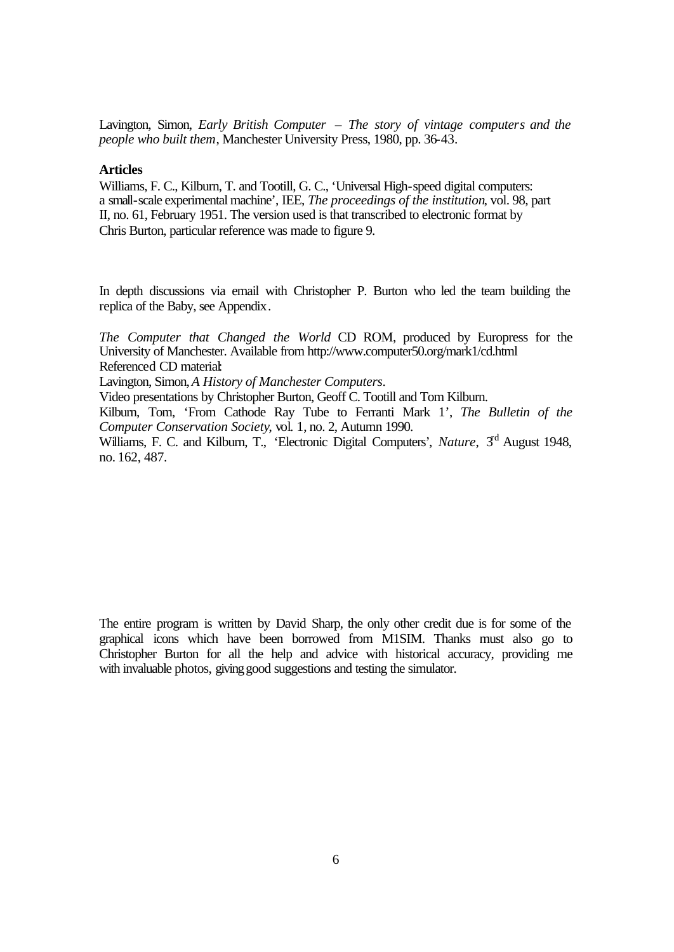Lavington, Simon, *Early British Computer – The story of vintage computers and the people who built them*, Manchester University Press, 1980, pp. 36-43.

#### **Articles**

Williams, F. C., Kilburn, T. and Tootill, G. C., 'Universal High-speed digital computers: a small-scale experimental machine', IEE, *The proceedings of the institution*, vol. 98, part II, no. 61, February 1951. The version used is that transcribed to electronic format by Chris Burton, particular reference was made to figure 9.

In depth discussions via email with Christopher P. Burton who led the team building the replica of the Baby, see Appendix.

*The Computer that Changed the World* CD ROM, produced by Europress for the University of Manchester. Available from http://www.computer50.org/mark1/cd.html Referenced CD material:

Lavington, Simon, *A History of Manchester Computers*.

Video presentations by Christopher Burton, Geoff C. Tootill and Tom Kilburn.

Kilburn, Tom, 'From Cathode Ray Tube to Ferranti Mark 1', *The Bulletin of the Computer Conservation Society*, vol. 1, no. 2, Autumn 1990.

Williams, F. C. and Kilburn, T., 'Electronic Digital Computers', *Nature*, 3<sup>rd</sup> August 1948. no. 162, 487.

The entire program is written by David Sharp, the only other credit due is for some of the graphical icons which have been borrowed from M1SIM. Thanks must also go to Christopher Burton for all the help and advice with historical accuracy, providing me with invaluable photos, giving good suggestions and testing the simulator.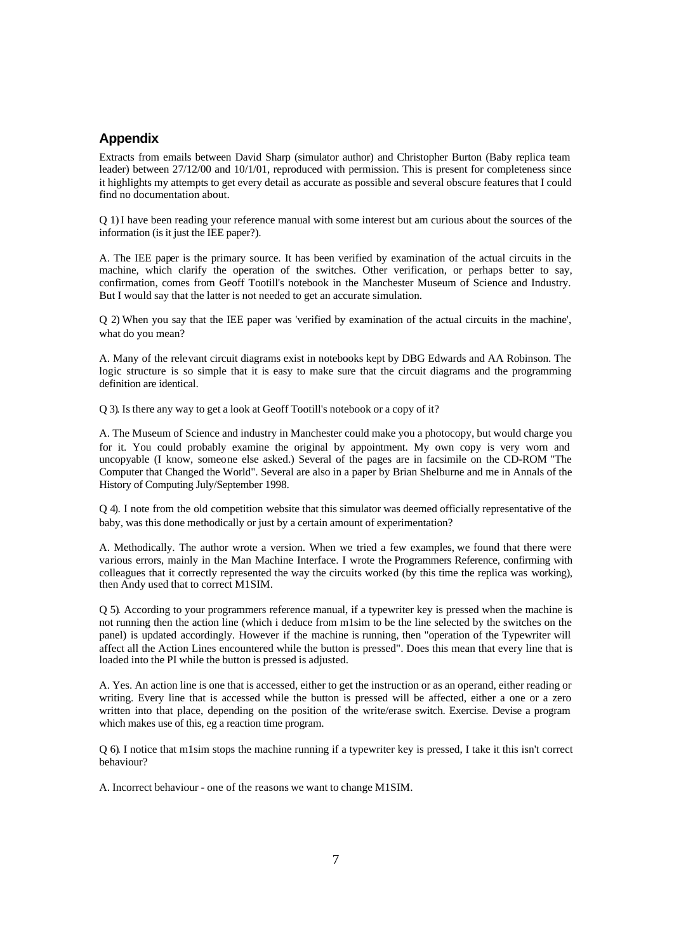#### **Appendix**

Extracts from emails between David Sharp (simulator author) and Christopher Burton (Baby replica team leader) between 27/12/00 and 10/1/01, reproduced with permission. This is present for completeness since it highlights my attempts to get every detail as accurate as possible and several obscure features that I could find no documentation about.

Q 1) I have been reading your reference manual with some interest but am curious about the sources of the information (is it just the IEE paper?).

A. The IEE paper is the primary source. It has been verified by examination of the actual circuits in the machine, which clarify the operation of the switches. Other verification, or perhaps better to say, confirmation, comes from Geoff Tootill's notebook in the Manchester Museum of Science and Industry. But I would say that the latter is not needed to get an accurate simulation.

Q 2) When you say that the IEE paper was 'verified by examination of the actual circuits in the machine', what do you mean?

A. Many of the relevant circuit diagrams exist in notebooks kept by DBG Edwards and AA Robinson. The logic structure is so simple that it is easy to make sure that the circuit diagrams and the programming definition are identical.

Q 3). Is there any way to get a look at Geoff Tootill's notebook or a copy of it?

A. The Museum of Science and industry in Manchester could make you a photocopy, but would charge you for it. You could probably examine the original by appointment. My own copy is very worn and uncopyable (I know, someone else asked.) Several of the pages are in facsimile on the CD-ROM "The Computer that Changed the World". Several are also in a paper by Brian Shelburne and me in Annals of the History of Computing July/September 1998.

Q 4). I note from the old competition website that this simulator was deemed officially representative of the baby, was this done methodically or just by a certain amount of experimentation?

A. Methodically. The author wrote a version. When we tried a few examples, we found that there were various errors, mainly in the Man Machine Interface. I wrote the Programmers Reference, confirming with colleagues that it correctly represented the way the circuits worked (by this time the replica was working), then Andy used that to correct M1SIM.

Q 5). According to your programmers reference manual, if a typewriter key is pressed when the machine is not running then the action line (which i deduce from m1sim to be the line selected by the switches on the panel) is updated accordingly. However if the machine is running, then "operation of the Typewriter will affect all the Action Lines encountered while the button is pressed". Does this mean that every line that is loaded into the PI while the button is pressed is adjusted.

A. Yes. An action line is one that is accessed, either to get the instruction or as an operand, either reading or writing. Every line that is accessed while the button is pressed will be affected, either a one or a zero written into that place, depending on the position of the write/erase switch. Exercise. Devise a program which makes use of this, eg a reaction time program.

Q 6). I notice that m1sim stops the machine running if a typewriter key is pressed, I take it this isn't correct behaviour?

A. Incorrect behaviour - one of the reasons we want to change M1SIM.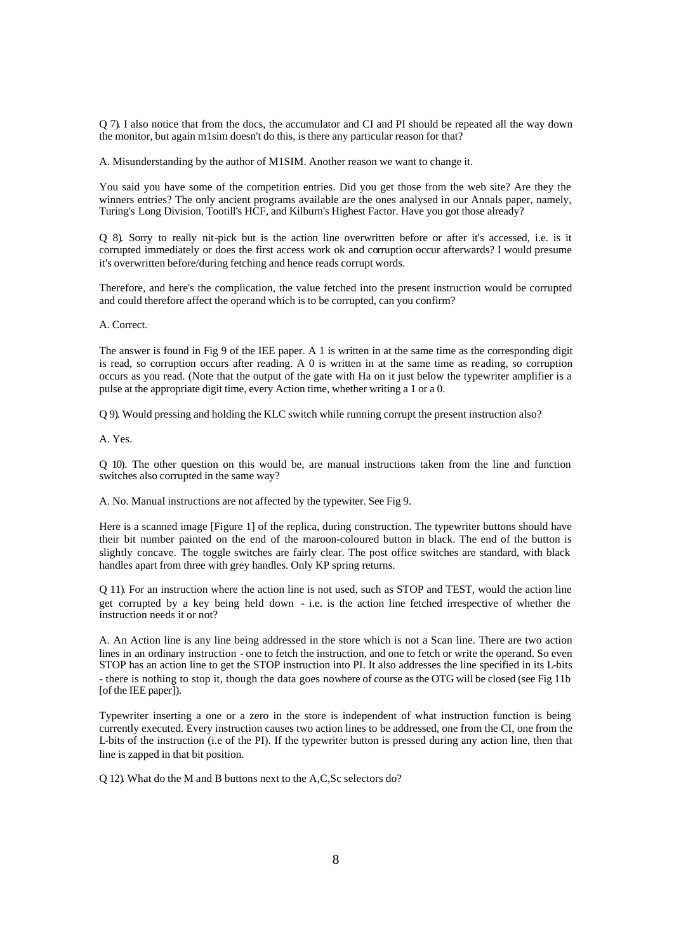Q 7). I also notice that from the docs, the accumulator and CI and PI should be repeated all the way down the monitor, but again m1sim doesn't do this, is there any particular reason for that?

A. Misunderstanding by the author of M1SIM. Another reason we want to change it.

You said you have some of the competition entries. Did you get those from the web site? Are they the winners entries? The only ancient programs available are the ones analysed in our Annals paper, namely, Turing's Long Division, Tootill's HCF, and Kilburn's Highest Factor. Have you got those already?

Q 8). Sorry to really nit-pick but is the action line overwritten before or after it's accessed, i.e. is it corrupted immediately or does the first access work ok and corruption occur afterwards? I would presume it's overwritten before/during fetching and hence reads corrupt words.

Therefore, and here's the complication, the value fetched into the present instruction would be corrupted and could therefore affect the operand which is to be corrupted, can you confirm?

A. Correct.

The answer is found in Fig 9 of the IEE paper. A 1 is written in at the same time as the corresponding digit is read, so corruption occurs after reading. A 0 is written in at the same time as reading, so corruption occurs as you read. (Note that the output of the gate with Ha on it just below the typewriter amplifier is a pulse at the appropriate digit time, every Action time, whether writing a 1 or a 0.

Q 9). Would pressing and holding the KLC switch while running corrupt the present instruction also?

A. Yes.

Q 10). The other question on this would be, are manual instructions taken from the line and function switches also corrupted in the same way?

A. No. Manual instructions are not affected by the typewiter. See Fig 9.

Here is a scanned image [Figure 1] of the replica, during construction. The typewriter buttons should have their bit number painted on the end of the maroon-coloured button in black. The end of the button is slightly concave. The toggle switches are fairly clear. The post office switches are standard, with black handles apart from three with grey handles. Only KP spring returns.

Q 11). For an instruction where the action line is not used, such as STOP and TEST, would the action line get corrupted by a key being held down - i.e. is the action line fetched irrespective of whether the instruction needs it or not?

A. An Action line is any line being addressed in the store which is not a Scan line. There are two action lines in an ordinary instruction - one to fetch the instruction, and one to fetch or write the operand. So even STOP has an action line to get the STOP instruction into PI. It also addresses the line specified in its L-bits - there is nothing to stop it, though the data goes nowhere of course as the OTG will be closed (see Fig 11b [of the IEE paper]).

Typewriter inserting a one or a zero in the store is independent of what instruction function is being currently executed. Every instruction causes two action lines to be addressed, one from the CI, one from the L-bits of the instruction (i.e of the PI). If the typewriter button is pressed during any action line, then that line is zapped in that bit position.

Q 12). What do the M and B buttons next to the A,C,Sc selectors do?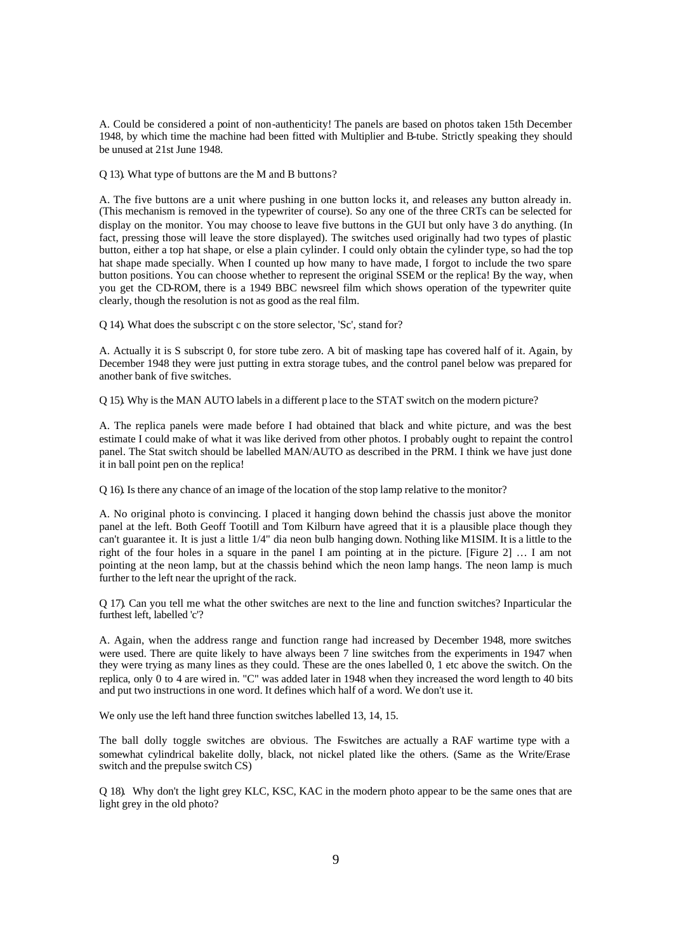A. Could be considered a point of non-authenticity! The panels are based on photos taken 15th December 1948, by which time the machine had been fitted with Multiplier and B-tube. Strictly speaking they should be unused at 21st June 1948.

Q 13). What type of buttons are the M and B buttons?

A. The five buttons are a unit where pushing in one button locks it, and releases any button already in. (This mechanism is removed in the typewriter of course). So any one of the three CRTs can be selected for display on the monitor. You may choose to leave five buttons in the GUI but only have 3 do anything. (In fact, pressing those will leave the store displayed). The switches used originally had two types of plastic button, either a top hat shape, or else a plain cylinder. I could only obtain the cylinder type, so had the top hat shape made specially. When I counted up how many to have made, I forgot to include the two spare button positions. You can choose whether to represent the original SSEM or the replica! By the way, when you get the CD-ROM, there is a 1949 BBC newsreel film which shows operation of the typewriter quite clearly, though the resolution is not as good as the real film.

Q 14). What does the subscript c on the store selector, 'Sc', stand for?

A. Actually it is S subscript 0, for store tube zero. A bit of masking tape has covered half of it. Again, by December 1948 they were just putting in extra storage tubes, and the control panel below was prepared for another bank of five switches.

Q 15). Why is the MAN AUTO labels in a different p lace to the STAT switch on the modern picture?

A. The replica panels were made before I had obtained that black and white picture, and was the best estimate I could make of what it was like derived from other photos. I probably ought to repaint the control panel. The Stat switch should be labelled MAN/AUTO as described in the PRM. I think we have just done it in ball point pen on the replica!

Q 16). Is there any chance of an image of the location of the stop lamp relative to the monitor?

A. No original photo is convincing. I placed it hanging down behind the chassis just above the monitor panel at the left. Both Geoff Tootill and Tom Kilburn have agreed that it is a plausible place though they can't guarantee it. It is just a little 1/4" dia neon bulb hanging down. Nothing like M1SIM. It is a little to the right of the four holes in a square in the panel I am pointing at in the picture. [Figure 2] … I am not pointing at the neon lamp, but at the chassis behind which the neon lamp hangs. The neon lamp is much further to the left near the upright of the rack.

Q 17). Can you tell me what the other switches are next to the line and function switches? Inparticular the furthest left, labelled 'c'?

A. Again, when the address range and function range had increased by December 1948, more switches were used. There are quite likely to have always been 7 line switches from the experiments in 1947 when they were trying as many lines as they could. These are the ones labelled 0, 1 etc above the switch. On the replica, only 0 to 4 are wired in. "C" was added later in 1948 when they increased the word length to 40 bits and put two instructions in one word. It defines which half of a word. We don't use it.

We only use the left hand three function switches labelled 13, 14, 15.

The ball dolly toggle switches are obvious. The Fswitches are actually a RAF wartime type with a somewhat cylindrical bakelite dolly, black, not nickel plated like the others. (Same as the Write/Erase switch and the prepulse switch CS)

Q 18). Why don't the light grey KLC, KSC, KAC in the modern photo appear to be the same ones that are light grey in the old photo?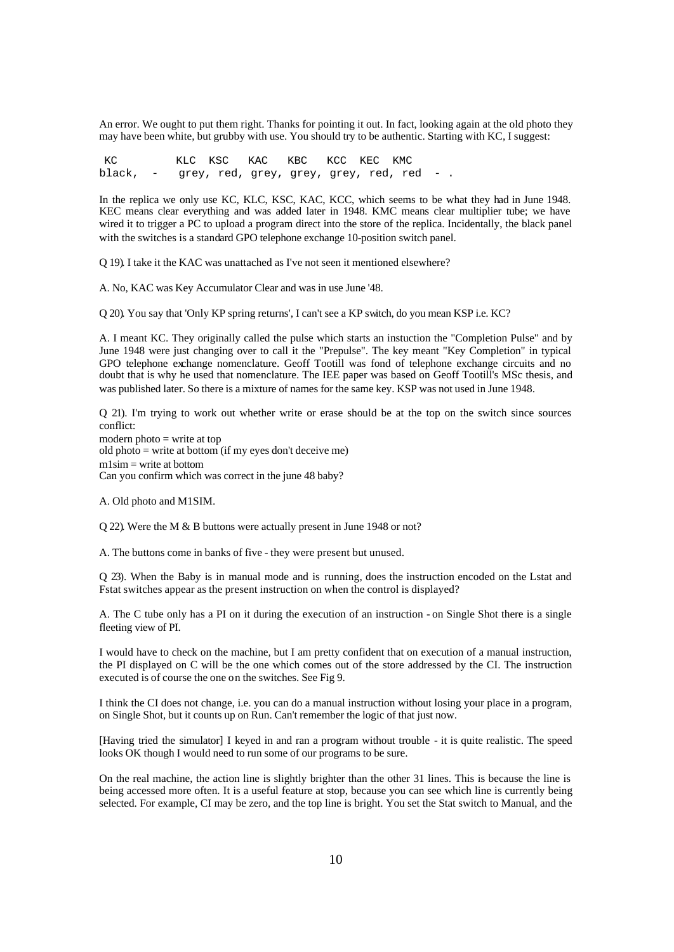An error. We ought to put them right. Thanks for pointing it out. In fact, looking again at the old photo they may have been white, but grubby with use. You should try to be authentic. Starting with KC, I suggest:

KC KLC KSC KAC KBC KCC KEC KMC black, - grey, red, grey, grey, grey, red, red - .

In the replica we only use KC, KLC, KSC, KAC, KCC, which seems to be what they had in June 1948. KEC means clear everything and was added later in 1948. KMC means clear multiplier tube; we have wired it to trigger a PC to upload a program direct into the store of the replica. Incidentally, the black panel with the switches is a standard GPO telephone exchange 10-position switch panel.

Q 19). I take it the KAC was unattached as I've not seen it mentioned elsewhere?

A. No, KAC was Key Accumulator Clear and was in use June '48.

Q 20). You say that 'Only KP spring returns', I can't see a KP switch, do you mean KSP i.e. KC?

A. I meant KC. They originally called the pulse which starts an instuction the "Completion Pulse" and by June 1948 were just changing over to call it the "Prepulse". The key meant "Key Completion" in typical GPO telephone exchange nomenclature. Geoff Tootill was fond of telephone exchange circuits and no doubt that is why he used that nomenclature. The IEE paper was based on Geoff Tootill's MSc thesis, and was published later. So there is a mixture of names for the same key. KSP was not used in June 1948.

Q 21). I'm trying to work out whether write or erase should be at the top on the switch since sources conflict: modern photo = write at top old photo  $=$  write at bottom (if my eyes don't deceive me) m1sim = write at bottom Can you confirm which was correct in the june 48 baby?

A. Old photo and M1SIM.

Q 22). Were the M & B buttons were actually present in June 1948 or not?

A. The buttons come in banks of five - they were present but unused.

Q 23). When the Baby is in manual mode and is running, does the instruction encoded on the Lstat and Fstat switches appear as the present instruction on when the control is displayed?

A. The C tube only has a PI on it during the execution of an instruction - on Single Shot there is a single fleeting view of PI.

I would have to check on the machine, but I am pretty confident that on execution of a manual instruction, the PI displayed on C will be the one which comes out of the store addressed by the CI. The instruction executed is of course the one on the switches. See Fig 9.

I think the CI does not change, i.e. you can do a manual instruction without losing your place in a program, on Single Shot, but it counts up on Run. Can't remember the logic of that just now.

[Having tried the simulator] I keyed in and ran a program without trouble - it is quite realistic. The speed looks OK though I would need to run some of our programs to be sure.

On the real machine, the action line is slightly brighter than the other 31 lines. This is because the line is being accessed more often. It is a useful feature at stop, because you can see which line is currently being selected. For example, CI may be zero, and the top line is bright. You set the Stat switch to Manual, and the